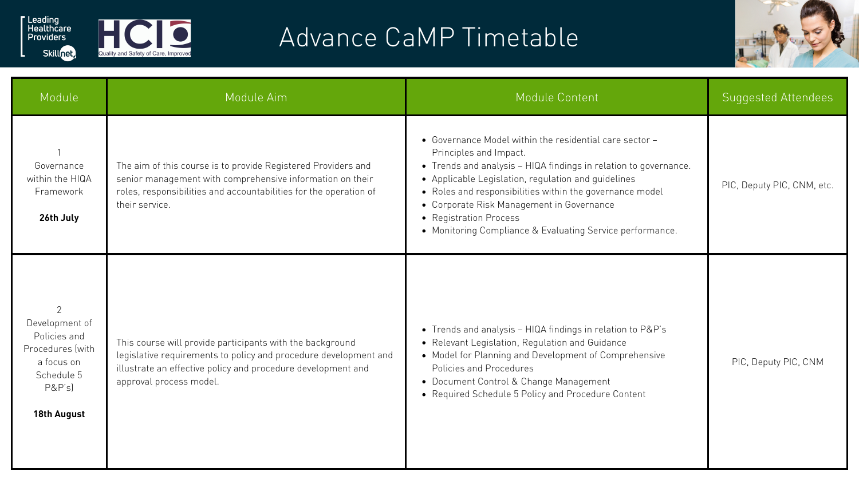

Skillnet,



| Module                                                                                                                           | Module Aim                                                                                                                                                                                                               | Module Content                                                                                                                                                                                                                                                                                                                                                                                               | <b>Suggested Attendees</b> |
|----------------------------------------------------------------------------------------------------------------------------------|--------------------------------------------------------------------------------------------------------------------------------------------------------------------------------------------------------------------------|--------------------------------------------------------------------------------------------------------------------------------------------------------------------------------------------------------------------------------------------------------------------------------------------------------------------------------------------------------------------------------------------------------------|----------------------------|
| Governance<br>within the HIQA<br>Framework<br>26th July                                                                          | The aim of this course is to provide Registered Providers and<br>senior management with comprehensive information on their<br>roles, responsibilities and accountabilities for the operation of<br>their service.        | • Governance Model within the residential care sector -<br>Principles and Impact.<br>• Trends and analysis - HIQA findings in relation to governance.<br>• Applicable Legislation, regulation and guidelines<br>• Roles and responsibilities within the governance model<br>• Corporate Risk Management in Governance<br>• Registration Process<br>• Monitoring Compliance & Evaluating Service performance. | PIC, Deputy PIC, CNM, etc. |
| $\overline{2}$<br>Development of<br>Policies and<br>Procedures (with<br>a focus on<br>Schedule 5<br>P&P's)<br><b>18th August</b> | This course will provide participants with the background<br>legislative requirements to policy and procedure development and<br>illustrate an effective policy and procedure development and<br>approval process model. | • Trends and analysis - HIQA findings in relation to P&P's<br>• Relevant Legislation, Regulation and Guidance<br>• Model for Planning and Development of Comprehensive<br>Policies and Procedures<br>• Document Control & Change Management<br>• Required Schedule 5 Policy and Procedure Content                                                                                                            | PIC, Deputy PIC, CNM       |

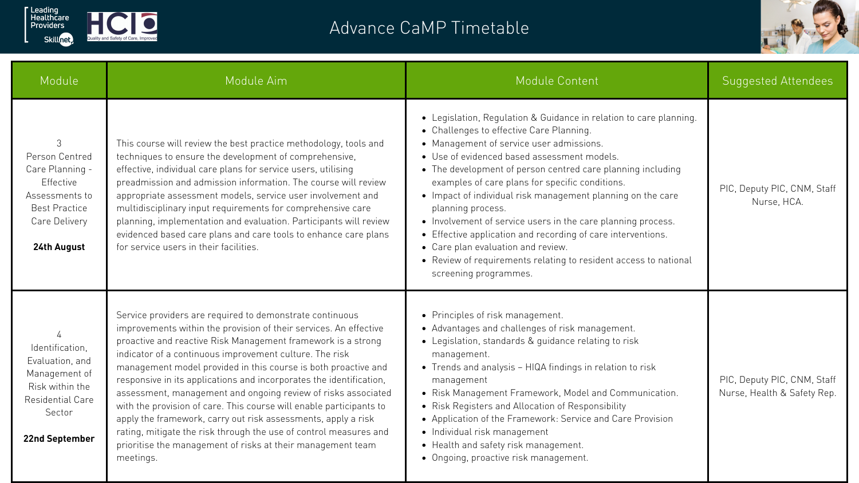| Module                                                                                                                        | Module Aim                                                                                                                                                                                                                                                                                                                                                                                                                                                                                                                                                                                                                                                                                                                                                  | Module Content                                                                                                                                                                                                                                                                                                                                                                                                                                                                                                                                                                                                                                                                     | <b>Suggested Attendees</b>                                 |
|-------------------------------------------------------------------------------------------------------------------------------|-------------------------------------------------------------------------------------------------------------------------------------------------------------------------------------------------------------------------------------------------------------------------------------------------------------------------------------------------------------------------------------------------------------------------------------------------------------------------------------------------------------------------------------------------------------------------------------------------------------------------------------------------------------------------------------------------------------------------------------------------------------|------------------------------------------------------------------------------------------------------------------------------------------------------------------------------------------------------------------------------------------------------------------------------------------------------------------------------------------------------------------------------------------------------------------------------------------------------------------------------------------------------------------------------------------------------------------------------------------------------------------------------------------------------------------------------------|------------------------------------------------------------|
| 3<br>Person Centred<br>Care Planning -<br>Effective<br>Assessments to<br><b>Best Practice</b><br>Care Delivery<br>24th August | This course will review the best practice methodology, tools and<br>techniques to ensure the development of comprehensive,<br>effective, individual care plans for service users, utilising<br>preadmission and admission information. The course will review<br>appropriate assessment models, service user involvement and<br>multidisciplinary input requirements for comprehensive care<br>planning, implementation and evaluation. Participants will review<br>evidenced based care plans and care tools to enhance care plans<br>for service users in their facilities.                                                                                                                                                                               | • Legislation, Regulation & Guidance in relation to care planning.<br>• Challenges to effective Care Planning.<br>• Management of service user admissions.<br>· Use of evidenced based assessment models.<br>• The development of person centred care planning including<br>examples of care plans for specific conditions.<br>• Impact of individual risk management planning on the care<br>planning process.<br>• Involvement of service users in the care planning process.<br>• Effective application and recording of care interventions.<br>• Care plan evaluation and review.<br>• Review of requirements relating to resident access to national<br>screening programmes. | PIC, Deputy PIC, CNM, Staff<br>Nurse, HCA.                 |
| Identification,<br>Evaluation, and<br>Management of<br>Risk within the<br>Residential Care<br>Sector<br><b>22nd September</b> | Service providers are required to demonstrate continuous<br>improvements within the provision of their services. An effective<br>proactive and reactive Risk Management framework is a strong<br>indicator of a continuous improvement culture. The risk<br>management model provided in this course is both proactive and<br>responsive in its applications and incorporates the identification,<br>assessment, management and ongoing review of risks associated<br>with the provision of care. This course will enable participants to<br>apply the framework, carry out risk assessments, apply a risk<br>rating, mitigate the risk through the use of control measures and<br>prioritise the management of risks at their management team<br>meetings. | • Principles of risk management.<br>• Advantages and challenges of risk management.<br>• Legislation, standards & guidance relating to risk<br>management.<br>• Trends and analysis – HIQA findings in relation to risk<br>management<br>• Risk Management Framework, Model and Communication.<br>• Risk Registers and Allocation of Responsibility<br>• Application of the Framework: Service and Care Provision<br>• Individual risk management<br>• Health and safety risk management.<br>• Ongoing, proactive risk management.                                                                                                                                                 | PIC, Deputy PIC, CNM, Staff<br>Nurse, Health & Safety Rep. |



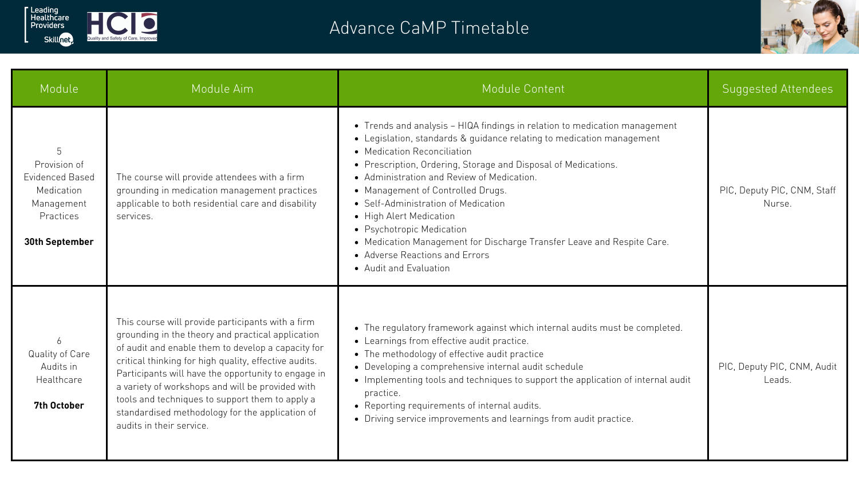| Module                                                                                                          | Module Aim                                                                                                                                                                                                                                                                                                                                                                                                                                                         | Module Content                                                                                                                                                                                                                                                                                                                                                                                                                                                                                                                                                               | <b>Suggested Attendees</b>            |
|-----------------------------------------------------------------------------------------------------------------|--------------------------------------------------------------------------------------------------------------------------------------------------------------------------------------------------------------------------------------------------------------------------------------------------------------------------------------------------------------------------------------------------------------------------------------------------------------------|------------------------------------------------------------------------------------------------------------------------------------------------------------------------------------------------------------------------------------------------------------------------------------------------------------------------------------------------------------------------------------------------------------------------------------------------------------------------------------------------------------------------------------------------------------------------------|---------------------------------------|
| Provision of<br><b>Evidenced Based</b><br>Medication<br>Management<br><b>Practices</b><br><b>30th September</b> | The course will provide attendees with a firm<br>grounding in medication management practices<br>applicable to both residential care and disability<br>services.                                                                                                                                                                                                                                                                                                   | • Trends and analysis – HIQA findings in relation to medication management<br>• Legislation, standards & guidance relating to medication management<br>• Medication Reconciliation<br>• Prescription, Ordering, Storage and Disposal of Medications.<br>• Administration and Review of Medication.<br>• Management of Controlled Drugs.<br>• Self-Administration of Medication<br>• High Alert Medication<br>• Psychotropic Medication<br>• Medication Management for Discharge Transfer Leave and Respite Care.<br>• Adverse Reactions and Errors<br>• Audit and Evaluation | PIC, Deputy PIC, CNM, Staff<br>Nurse. |
| Quality of Care<br>Audits in<br>Healthcare<br><b>7th October</b>                                                | This course will provide participants with a firm<br>grounding in the theory and practical application<br>of audit and enable them to develop a capacity for<br>critical thinking for high quality, effective audits.<br>Participants will have the opportunity to engage in<br>a variety of workshops and will be provided with<br>tools and techniques to support them to apply a<br>standardised methodology for the application of<br>audits in their service. | • The regulatory framework against which internal audits must be completed.<br>• Learnings from effective audit practice.<br>• The methodology of effective audit practice<br>• Developing a comprehensive internal audit schedule<br>• Implementing tools and techniques to support the application of internal audit<br>practice.<br>• Reporting requirements of internal audits.<br>• Driving service improvements and learnings from audit practice.                                                                                                                     | PIC, Deputy PIC, CNM, Audit<br>Leads. |





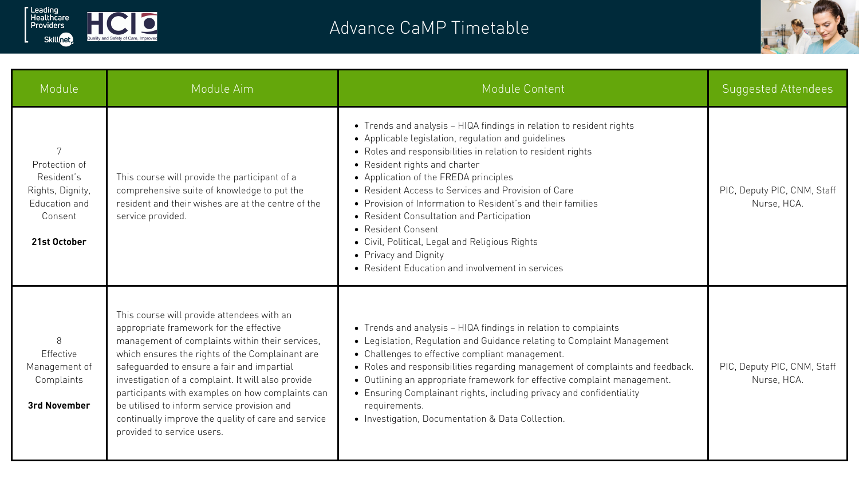| Module                                                                                      | Module Aim                                                                                                                                                                                                                                                                                                                                                                                                                                                                              | Module Content                                                                                                                                                                                                                                                                                                                                                                                                                                                                                                                                                                               | <b>Suggested Attendees</b>                 |
|---------------------------------------------------------------------------------------------|-----------------------------------------------------------------------------------------------------------------------------------------------------------------------------------------------------------------------------------------------------------------------------------------------------------------------------------------------------------------------------------------------------------------------------------------------------------------------------------------|----------------------------------------------------------------------------------------------------------------------------------------------------------------------------------------------------------------------------------------------------------------------------------------------------------------------------------------------------------------------------------------------------------------------------------------------------------------------------------------------------------------------------------------------------------------------------------------------|--------------------------------------------|
| Protection of<br>Resident's<br>Rights, Dignity,<br>Education and<br>Consent<br>21st October | This course will provide the participant of a<br>comprehensive suite of knowledge to put the<br>resident and their wishes are at the centre of the<br>service provided.                                                                                                                                                                                                                                                                                                                 | • Trends and analysis - HIQA findings in relation to resident rights<br>• Applicable legislation, regulation and guidelines<br>• Roles and responsibilities in relation to resident rights<br>• Resident rights and charter<br>• Application of the FREDA principles<br>• Resident Access to Services and Provision of Care<br>• Provision of Information to Resident's and their families<br>• Resident Consultation and Participation<br>• Resident Consent<br>• Civil, Political, Legal and Religious Rights<br>• Privacy and Dignity<br>• Resident Education and involvement in services | PIC, Deputy PIC, CNM, Staff<br>Nurse, HCA. |
| 8<br><b>Effective</b><br>Management of<br>Complaints<br><b>3rd November</b>                 | This course will provide attendees with an<br>appropriate framework for the effective<br>management of complaints within their services,<br>which ensures the rights of the Complainant are<br>safeguarded to ensure a fair and impartial<br>investigation of a complaint. It will also provide<br>participants with examples on how complaints can<br>be utilised to inform service provision and<br>continually improve the quality of care and service<br>provided to service users. | • Trends and analysis - HIQA findings in relation to complaints<br>• Legislation, Regulation and Guidance relating to Complaint Management<br>• Challenges to effective compliant management.<br>• Roles and responsibilities regarding management of complaints and feedback.<br>• Outlining an appropriate framework for effective complaint management.<br>• Ensuring Complainant rights, including privacy and confidentiality<br>requirements.<br>• Investigation, Documentation & Data Collection.                                                                                     | PIC, Deputy PIC, CNM, Staff<br>Nurse, HCA. |







|  | Quality and Safety of Care, Improved |  |  |
|--|--------------------------------------|--|--|
|  |                                      |  |  |
|  |                                      |  |  |
|  |                                      |  |  |
|  |                                      |  |  |
|  |                                      |  |  |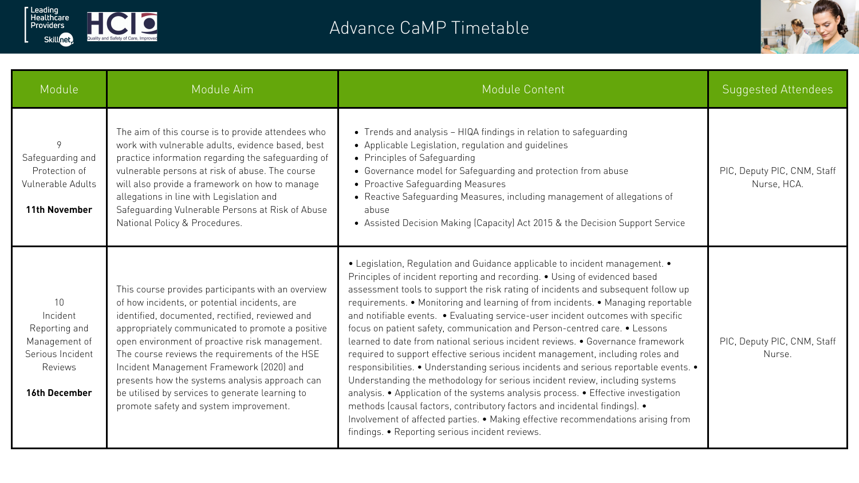| Module                                                                                                               | Module Aim                                                                                                                                                                                                                                                                                                                                                                                                                                                                                                | Module Content                                                                                                                                                                                                                                                                                                                                                                                                                                                                                                                                                                                                                                                                                                                                                                                                                                                                                                                                                                                                                                                                                                                                            | <b>Suggested Attendees</b>                 |
|----------------------------------------------------------------------------------------------------------------------|-----------------------------------------------------------------------------------------------------------------------------------------------------------------------------------------------------------------------------------------------------------------------------------------------------------------------------------------------------------------------------------------------------------------------------------------------------------------------------------------------------------|-----------------------------------------------------------------------------------------------------------------------------------------------------------------------------------------------------------------------------------------------------------------------------------------------------------------------------------------------------------------------------------------------------------------------------------------------------------------------------------------------------------------------------------------------------------------------------------------------------------------------------------------------------------------------------------------------------------------------------------------------------------------------------------------------------------------------------------------------------------------------------------------------------------------------------------------------------------------------------------------------------------------------------------------------------------------------------------------------------------------------------------------------------------|--------------------------------------------|
| 9<br>Safeguarding and<br>Protection of<br>Vulnerable Adults<br><b>11th November</b>                                  | The aim of this course is to provide attendees who<br>work with vulnerable adults, evidence based, best<br>practice information regarding the safeguarding of<br>vulnerable persons at risk of abuse. The course<br>will also provide a framework on how to manage<br>allegations in line with Legislation and<br>Safeguarding Vulnerable Persons at Risk of Abuse<br>National Policy & Procedures.                                                                                                       | • Trends and analysis - HIQA findings in relation to safeguarding<br>• Applicable Legislation, regulation and guidelines<br>• Principles of Safequarding<br>• Governance model for Safeguarding and protection from abuse<br>• Proactive Safeguarding Measures<br>• Reactive Safeguarding Measures, including management of allegations of<br>abuse<br>• Assisted Decision Making (Capacity) Act 2015 & the Decision Support Service                                                                                                                                                                                                                                                                                                                                                                                                                                                                                                                                                                                                                                                                                                                      | PIC, Deputy PIC, CNM, Staff<br>Nurse, HCA. |
| 10 <sup>°</sup><br>Incident<br>Reporting and<br>Management of<br>Serious Incident<br>Reviews<br><b>16th December</b> | This course provides participants with an overview<br>of how incidents, or potential incidents, are<br>identified, documented, rectified, reviewed and<br>appropriately communicated to promote a positive<br>open environment of proactive risk management.<br>The course reviews the requirements of the HSE<br>Incident Management Framework (2020) and<br>presents how the systems analysis approach can<br>be utilised by services to generate learning to<br>promote safety and system improvement. | • Legislation, Regulation and Guidance applicable to incident management. •<br>Principles of incident reporting and recording. • Using of evidenced based<br>assessment tools to support the risk rating of incidents and subsequent follow up<br>requirements. • Monitoring and learning of from incidents. • Managing reportable<br>and notifiable events. . Evaluating service-user incident outcomes with specific<br>focus on patient safety, communication and Person-centred care. • Lessons<br>learned to date from national serious incident reviews. • Governance framework<br>required to support effective serious incident management, including roles and<br>responsibilities. • Understanding serious incidents and serious reportable events. •<br>Understanding the methodology for serious incident review, including systems<br>analysis. • Application of the systems analysis process. • Effective investigation<br>methods (causal factors, contributory factors and incidental findings). •<br>Involvement of affected parties. • Making effective recommendations arising from<br>findings. • Reporting serious incident reviews. | PIC, Deputy PIC, CNM, Staff<br>Nurse.      |





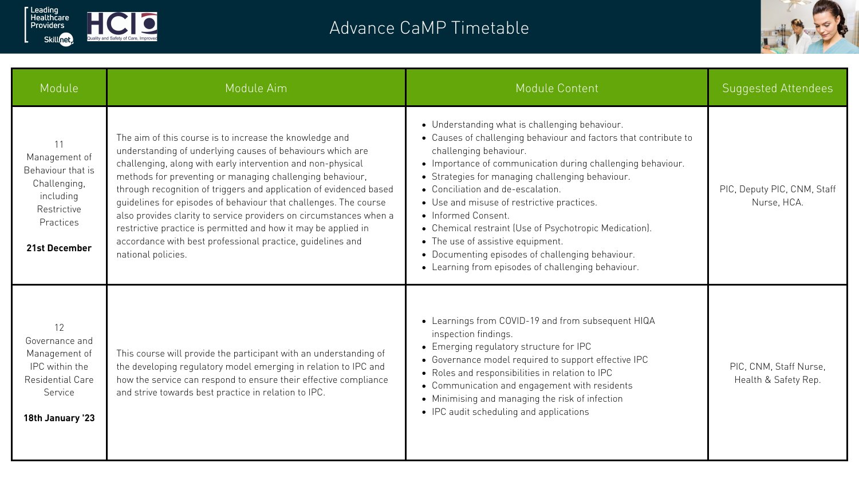| Module                                                                                                       | Module Aim                                                                                                                                                                                                                                                                                                                                                                                                                                                                                                                                                                                                              | Module Content                                                                                                                                                                                                                                                                                                                                                                                                                                                                                                                                                                     | <b>Suggested Attendees</b>                     |
|--------------------------------------------------------------------------------------------------------------|-------------------------------------------------------------------------------------------------------------------------------------------------------------------------------------------------------------------------------------------------------------------------------------------------------------------------------------------------------------------------------------------------------------------------------------------------------------------------------------------------------------------------------------------------------------------------------------------------------------------------|------------------------------------------------------------------------------------------------------------------------------------------------------------------------------------------------------------------------------------------------------------------------------------------------------------------------------------------------------------------------------------------------------------------------------------------------------------------------------------------------------------------------------------------------------------------------------------|------------------------------------------------|
| Management of<br>Behaviour that is<br>Challenging,<br>including<br>Restrictive<br>Practices<br>21st December | The aim of this course is to increase the knowledge and<br>understanding of underlying causes of behaviours which are<br>challenging, along with early intervention and non-physical<br>methods for preventing or managing challenging behaviour,<br>through recognition of triggers and application of evidenced based<br>quidelines for episodes of behaviour that challenges. The course<br>also provides clarity to service providers on circumstances when a<br>restrictive practice is permitted and how it may be applied in<br>accordance with best professional practice, quidelines and<br>national policies. | • Understanding what is challenging behaviour.<br>• Causes of challenging behaviour and factors that contribute to<br>challenging behaviour.<br>• Importance of communication during challenging behaviour.<br>• Strategies for managing challenging behaviour.<br>• Conciliation and de-escalation.<br>• Use and misuse of restrictive practices.<br>• Informed Consent.<br>• Chemical restraint (Use of Psychotropic Medication).<br>• The use of assistive equipment.<br>• Documenting episodes of challenging behaviour.<br>• Learning from episodes of challenging behaviour. | PIC, Deputy PIC, CNM, Staff<br>Nurse, HCA.     |
| 12<br>Governance and<br>Management of<br>IPC within the<br>Residential Care<br>Service<br>18th January '23   | This course will provide the participant with an understanding of<br>the developing regulatory model emerging in relation to IPC and<br>how the service can respond to ensure their effective compliance<br>and strive towards best practice in relation to IPC.                                                                                                                                                                                                                                                                                                                                                        | • Learnings from COVID-19 and from subsequent HIQA<br>inspection findings.<br>• Emerging regulatory structure for IPC<br>• Governance model required to support effective IPC<br>• Roles and responsibilities in relation to IPC<br>• Communication and engagement with residents<br>• Minimising and managing the risk of infection<br>• IPC audit scheduling and applications                                                                                                                                                                                                    | PIC, CNM, Staff Nurse,<br>Health & Safety Rep. |





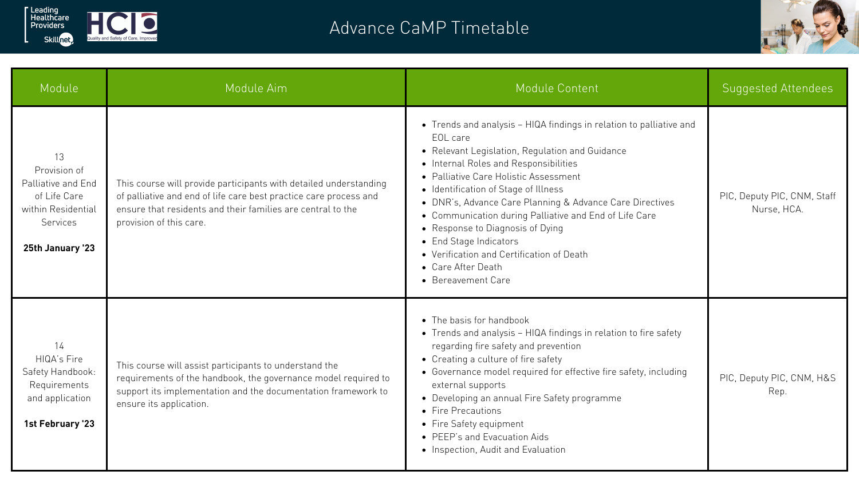| Module                                                                                                                | Module Aim                                                                                                                                                                                                                       | Module Content                                                                                                                                                                                                                                                                                                                                                                                                                                                                                                                            | Suggested Attendees                        |
|-----------------------------------------------------------------------------------------------------------------------|----------------------------------------------------------------------------------------------------------------------------------------------------------------------------------------------------------------------------------|-------------------------------------------------------------------------------------------------------------------------------------------------------------------------------------------------------------------------------------------------------------------------------------------------------------------------------------------------------------------------------------------------------------------------------------------------------------------------------------------------------------------------------------------|--------------------------------------------|
| 13<br>Provision of<br>Palliative and End<br>of Life Care<br>within Residential<br><b>Services</b><br>25th January '23 | This course will provide participants with detailed understanding<br>of palliative and end of life care best practice care process and<br>ensure that residents and their families are central to the<br>provision of this care. | • Trends and analysis – HIQA findings in relation to palliative and<br>EOL care<br>• Relevant Legislation, Regulation and Guidance<br>• Internal Roles and Responsibilities<br>• Palliative Care Holistic Assessment<br>• Identification of Stage of Illness<br>• DNR's, Advance Care Planning & Advance Care Directives<br>• Communication during Palliative and End of Life Care<br>• Response to Diagnosis of Dying<br>• End Stage Indicators<br>• Verification and Certification of Death<br>• Care After Death<br>• Bereavement Care | PIC, Deputy PIC, CNM, Staff<br>Nurse, HCA. |
| 14<br>HIQA's Fire<br>Safety Handbook:<br>Requirements<br>and application<br>1st February '23                          | This course will assist participants to understand the<br>requirements of the handbook, the governance model required to<br>support its implementation and the documentation framework to<br>ensure its application.             | • The basis for handbook<br>• Trends and analysis - HIQA findings in relation to fire safety<br>regarding fire safety and prevention<br>• Creating a culture of fire safety<br>• Governance model required for effective fire safety, including<br>external supports<br>• Developing an annual Fire Safety programme<br>• Fire Precautions<br>• Fire Safety equipment<br>• PEEP's and Evacuation Aids<br>• Inspection, Audit and Evaluation                                                                                               | PIC, Deputy PIC, CNM, H&S<br>Rep.          |